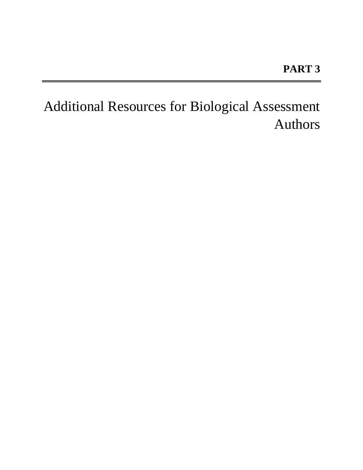# Additional Resources for Biological Assessment Authors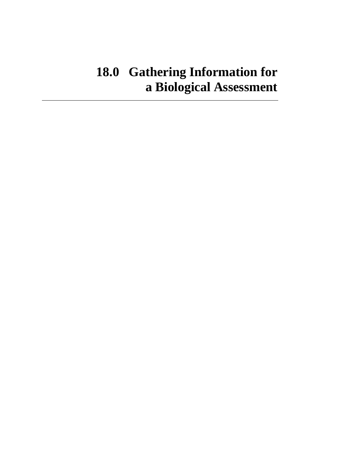# **18.0 Gathering Information for a Biological Assessment**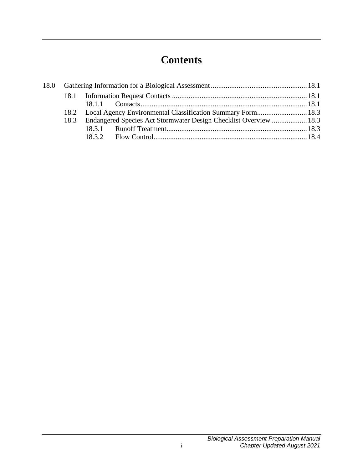# **Contents**

|  |  |  | 18.2 Local Agency Environmental Classification Summary Form 18.3<br>18.3 Endangered Species Act Stormwater Design Checklist Overview  18.3 |
|--|--|--|--------------------------------------------------------------------------------------------------------------------------------------------|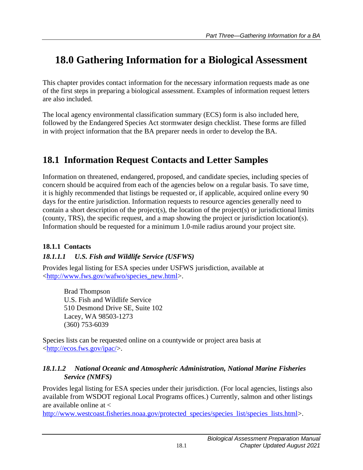# <span id="page-6-0"></span>**18.0 Gathering Information for a Biological Assessment**

This chapter provides contact information for the necessary information requests made as one of the first steps in preparing a biological assessment. Examples of information request letters are also included.

The local agency environmental classification summary (ECS) form is also included here, followed by the Endangered Species Act stormwater design checklist. These forms are filled in with project information that the BA preparer needs in order to develop the BA.

## <span id="page-6-1"></span>**18.1 Information Request Contacts and Letter Samples**

Information on threatened, endangered, proposed, and candidate species, including species of concern should be acquired from each of the agencies below on a regular basis. To save time, it is highly recommended that listings be requested or, if applicable, acquired online every 90 days for the entire jurisdiction. Information requests to resource agencies generally need to contain a short description of the project(s), the location of the project(s) or jurisdictional limits (county, TRS), the specific request, and a map showing the project or jurisdiction location(s). Information should be requested for a minimum 1.0-mile radius around your project site.

#### <span id="page-6-2"></span>**18.1.1 Contacts**

#### *18.1.1.1 U.S. Fish and Wildlife Service (USFWS)*

Provides legal listing for ESA species under USFWS jurisdiction, available at [<http://www.fws.gov/wafwo/species\\_new.html>](http://www.fws.gov/wafwo/species_new.html).

Brad Thompson U.S. Fish and Wildlife Service 510 Desmond Drive SE, Suite 102 Lacey, WA 98503-1273 (360) 753-6039

Species lists can be requested online on a countywide or project area basis at [<http://ecos.fws.gov/ipac/>](http://ecos.fws.gov/ipac/).

#### *18.1.1.2 National Oceanic and Atmospheric Administration, National Marine Fisheries Service (NMFS)*

Provides legal listing for ESA species under their jurisdiction. (For local agencies, listings also available from WSDOT regional Local Programs offices.) Currently, salmon and other listings are available online at <

[http://www.westcoast.fisheries.noaa.gov/protected\\_species/species\\_list/species\\_lists.html>](http://www.westcoast.fisheries.noaa.gov/protected_species/species_list/species_lists.html).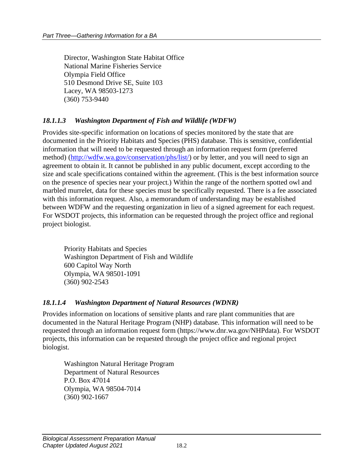Director, Washington State Habitat Office National Marine Fisheries Service Olympia Field Office 510 Desmond Drive SE, Suite 103 Lacey, WA 98503-1273 (360) 753-9440

#### *18.1.1.3 Washington Department of Fish and Wildlife (WDFW)*

Provides site-specific information on locations of species monitored by the state that are documented in the Priority Habitats and Species (PHS) database. This is sensitive, confidential information that will need to be requested through an information request form (preferred method) [\(http://wdfw.wa.gov/conservation/phs/list/\)](http://wdfw.wa.gov/conservation/phs/list/) or by letter, and you will need to sign an agreement to obtain it. It cannot be published in any public document, except according to the size and scale specifications contained within the agreement. (This is the best information source on the presence of species near your project.) Within the range of the northern spotted owl and marbled murrelet, data for these species must be specifically requested. There is a fee associated with this information request. Also, a memorandum of understanding may be established between WDFW and the requesting organization in lieu of a signed agreement for each request. For WSDOT projects, this information can be requested through the project office and regional project biologist.

Priority Habitats and Species Washington Department of Fish and Wildlife 600 Capitol Way North Olympia, WA 98501-1091 (360) 902-2543

#### *18.1.1.4 Washington Department of Natural Resources (WDNR)*

Provides information on locations of sensitive plants and rare plant communities that are documented in the Natural Heritage Program (NHP) database. This information will need to be requested through an information request form (https://www.dnr.wa.gov/NHPdata). For WSDOT projects, this information can be requested through the project office and regional project biologist.

Washington Natural Heritage Program Department of Natural Resources P.O. Box 47014 Olympia, WA 98504-7014 (360) 902-1667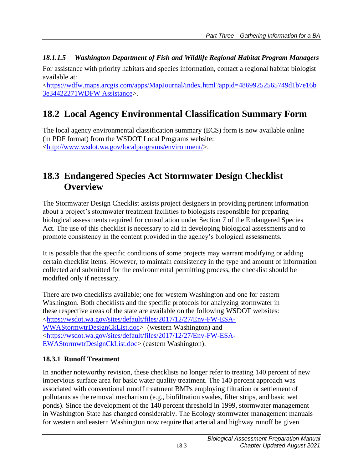#### *18.1.1.5 Washington Department of Fish and Wildlife Regional Habitat Program Managers*

For assistance with priority habitats and species information, contact a regional habitat biologist available at:

[<https://wdfw.maps.arcgis.com/apps/MapJournal/index.html?appid=48699252565749d1b7e16b](https://wdfw.maps.arcgis.com/apps/MapJournal/index.html?appid=48699252565749d1b7e16b3e34422271WDFW%20Assistance) [3e34422271WDFW Assistance>](https://wdfw.maps.arcgis.com/apps/MapJournal/index.html?appid=48699252565749d1b7e16b3e34422271WDFW%20Assistance).

## <span id="page-8-0"></span>**18.2 Local Agency Environmental Classification Summary Form**

The local agency environmental classification summary (ECS) form is now available online (in PDF format) from the WSDOT Local Programs website: [<http://www.wsdot.wa.gov/localprograms/environment/>](http://www.wsdot.wa.gov/localprograms/environment/).

### <span id="page-8-1"></span>**18.3 Endangered Species Act Stormwater Design Checklist Overview**

The Stormwater Design Checklist assists project designers in providing pertinent information about a project's stormwater treatment facilities to biologists responsible for preparing biological assessments required for consultation under Section 7 of the Endangered Species Act. The use of this checklist is necessary to aid in developing biological assessments and to promote consistency in the content provided in the agency's biological assessments.

It is possible that the specific conditions of some projects may warrant modifying or adding certain checklist items. However, to maintain consistency in the type and amount of information collected and submitted for the environmental permitting process, the checklist should be modified only if necessary.

There are two checklists available; one for western Washington and one for eastern Washington. Both checklists and the specific protocols for analyzing stormwater in these respective areas of the state are available on the following WSDOT websites: [<https://wsdot.wa.gov/sites/default/files/2017/12/27/Env-FW-ESA-](https://wsdot.wa.gov/sites/default/files/2017/12/27/Env-FW-ESA-WWAStormwtrDesignCkList.doc)[WWAStormwtrDesignCkList.doc>](https://wsdot.wa.gov/sites/default/files/2017/12/27/Env-FW-ESA-WWAStormwtrDesignCkList.doc) (western Washington) and [<https://wsdot.wa.gov/sites/default/files/2017/12/27/Env-FW-ESA-](https://wsdot.wa.gov/sites/default/files/2017/12/27/Env-FW-ESA-EWAStormwtrDesignCkList.doc)[EWAStormwtrDesignCkList.doc>](https://wsdot.wa.gov/sites/default/files/2017/12/27/Env-FW-ESA-EWAStormwtrDesignCkList.doc) (eastern Washington).

#### <span id="page-8-2"></span>**18.3.1 Runoff Treatment**

In another noteworthy revision, these checklists no longer refer to treating 140 percent of new impervious surface area for basic water quality treatment. The 140 percent approach was associated with conventional runoff treatment BMPs employing filtration or settlement of pollutants as the removal mechanism (e.g., biofiltration swales, filter strips, and basic wet ponds). Since the development of the 140 percent threshold in 1999, stormwater management in Washington State has changed considerably. The Ecology stormwater management manuals for western and eastern Washington now require that arterial and highway runoff be given